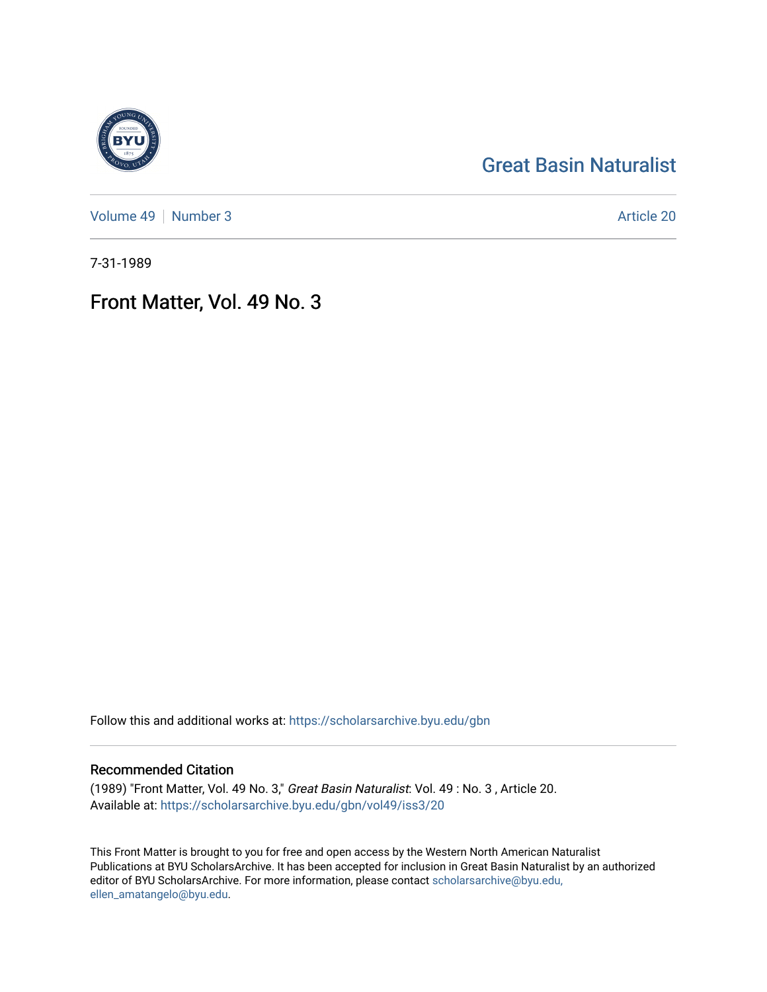## [Great Basin Naturalist](https://scholarsarchive.byu.edu/gbn)

[Volume 49](https://scholarsarchive.byu.edu/gbn/vol49) | [Number 3](https://scholarsarchive.byu.edu/gbn/vol49/iss3) Article 20

7-31-1989

## Front Matter, Vol. 49 No. 3

Follow this and additional works at: [https://scholarsarchive.byu.edu/gbn](https://scholarsarchive.byu.edu/gbn?utm_source=scholarsarchive.byu.edu%2Fgbn%2Fvol49%2Fiss3%2F20&utm_medium=PDF&utm_campaign=PDFCoverPages) 

### Recommended Citation

(1989) "Front Matter, Vol. 49 No. 3," Great Basin Naturalist: Vol. 49 : No. 3 , Article 20. Available at: [https://scholarsarchive.byu.edu/gbn/vol49/iss3/20](https://scholarsarchive.byu.edu/gbn/vol49/iss3/20?utm_source=scholarsarchive.byu.edu%2Fgbn%2Fvol49%2Fiss3%2F20&utm_medium=PDF&utm_campaign=PDFCoverPages) 

This Front Matter is brought to you for free and open access by the Western North American Naturalist Publications at BYU ScholarsArchive. It has been accepted for inclusion in Great Basin Naturalist by an authorized editor of BYU ScholarsArchive. For more information, please contact [scholarsarchive@byu.edu,](mailto:scholarsarchive@byu.edu,%20ellen_amatangelo@byu.edu) [ellen\\_amatangelo@byu.edu](mailto:scholarsarchive@byu.edu,%20ellen_amatangelo@byu.edu).

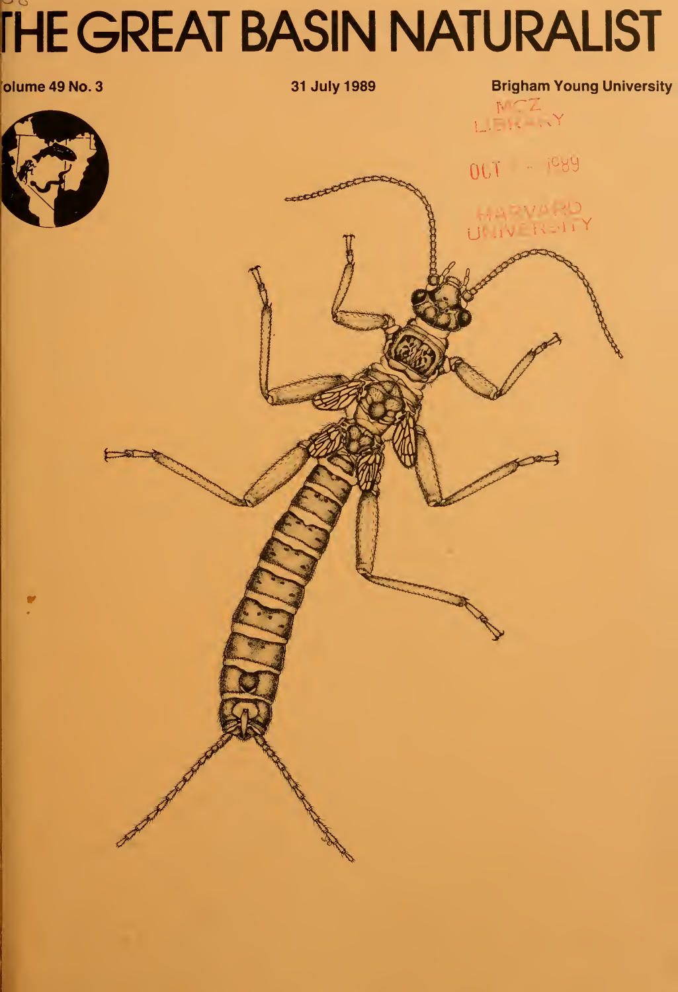# $\sim$   $\circ$ fHE GREAT BASIN NATURALIST